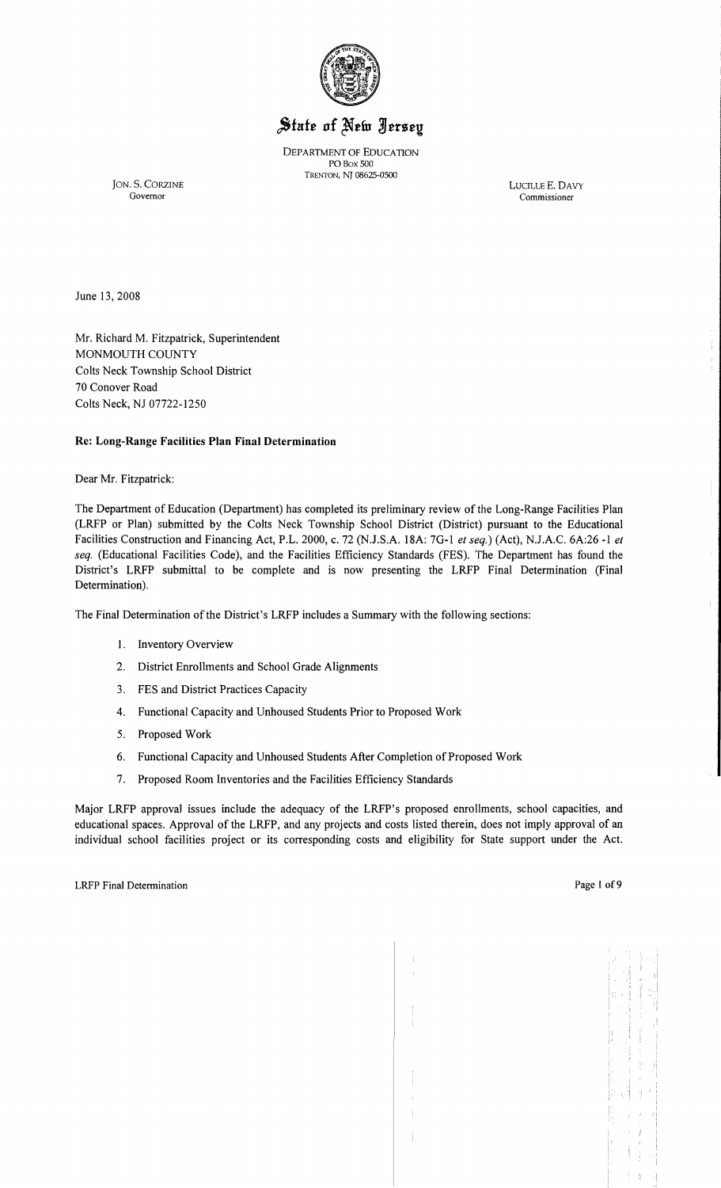

# State of New Jersey

DEPARTMENT OF EDUCATION POBox 500 TRENTON, NJ 08625-0500

JON. S. CORZINE LUCILLE E. DAVY Governor Commissioner

Commissioner

Ť

June 13, 2008

Mr. Richard M. Fitzpatrick, Superintendent MONMOUTH COUNTY Colts Neck Township School District 70 Conover Road Colts Neck, NJ 07722-1250

#### Re: Long-Range Facilities Plan Final Determination

Dear Mr. Fitzpatrick:

The Department of Education (Department) has completed its preliminary review of the Long-Range Facilities Plan (LRFP or Plan) submitted by the Colts Neck Township School District (District) pursuant to the Educational Facilities Construction and Financing Act, P.L. 2000, c. 72 (NJ.S.A. 18A: 70-1 *et seq.)* (Act), NJ.A.C. 6A:26 -1 *et seq.* (Educational Facilities Code), and the Facilities Efficiency Standards (FES). The Department has found the District's LRFP submittal to be complete and is now presenting the LRFP Final Determination (Final Determination).

The Final Determination of the District's LRFP includes a Summary with the following sections:

- I. Inventory Overview
- 2. District Enrollments and School Grade Alignments
- 3. FES and District Practices Capacity
- 4. Functional Capacity and Unhoused Students Prior to Proposed Work
- 5. Proposed Work
- 6. Functional Capacity and Unhoused Students After Completion of Proposed Work
- 7. Proposed Room Inventories and the Facilities Efficiency Standards

Major LRFP approval issues include the adequacy of the LRFP's proposed enrollments, school capacities, and educational spaces. Approval of the LRFP, and any projects and costs listed therein, does not imply approval of an individual school facilities project or its corresponding costs and eligibility for State support under the Act.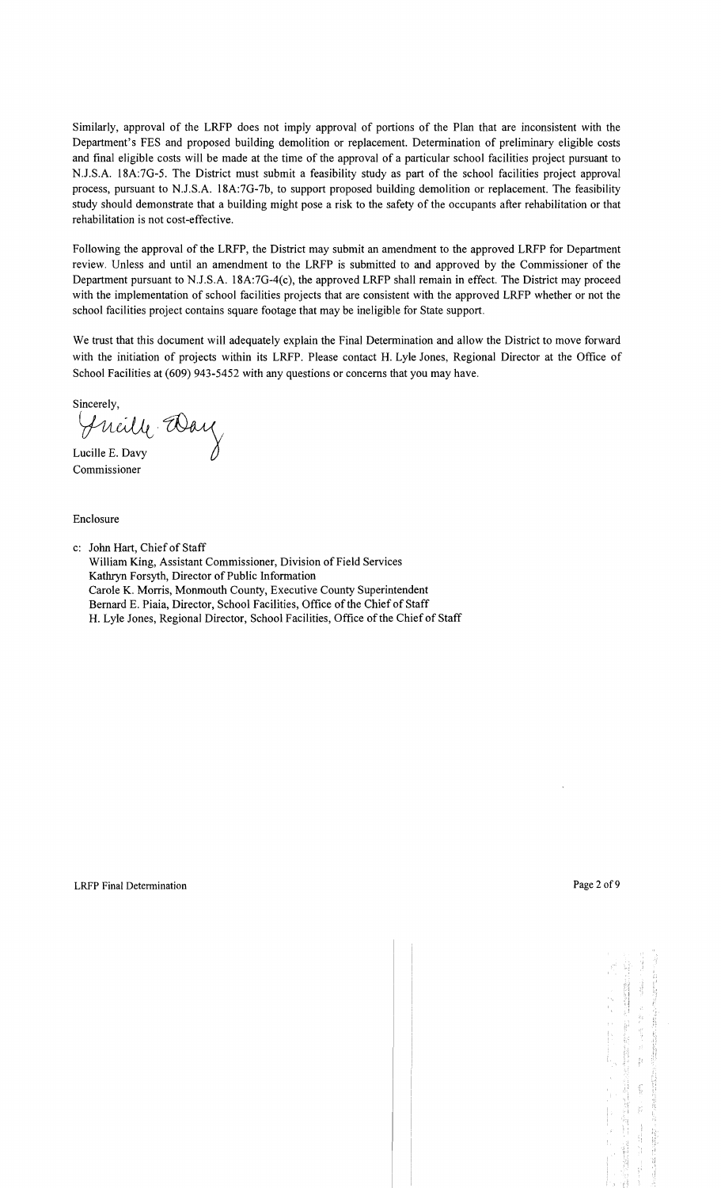Similarly, approval of the LRFP does not imply approval of portions of the Plan that are inconsistent with the Department's FES and proposed building demolition or replacement. Determination of preliminary eligible costs and final eligible costs will be made at the time of the approval of a particular school facilities project pursuant to N.J .S.A. 18A:7G-5. The District must submit a feasibility study as part of the school facilities project approval process, pursuant to NJ.S.A. 18A:7G-7b, to support proposed building demolition or replacement. The feasibility study should demonstrate that a building might pose a risk to the safety of the occupants after rehabilitation or that rehabilitation is not cost-effective.

Following the approval of the LRFP, the District may submit an amendment to the approved LRFP for Department review. Unless and until an amendment to the LRFP is submitted to and approved by the Commissioner of the Department pursuant to NJ.S.A. 18A:7G-4(c), the approved LRFP shall remain in effect. The District may proceed with the implementation of school facilities projects that are consistent with the approved LRFP whether or not the school facilities project contains square footage that may be ineligible for State support.

We trust that this document will adequately explain the Final Determination and allow the District to move forward with the initiation of projects within its LRFP. Please contact H. Lyle Jones, Regional Director at the Office of School Facilities at (609) 943-5452 with any questions or concerns that you may have.

 $\mathcal{L}_{11}$   $\mathcal{L}_{1}$   $\mathcal{L}_{2}$ Lucille E. Davy

Commissioner

Enclosure

c: John Hart, Chief of Staff

William King, Assistant Commissioner, Division of Field Services Kathryn Forsyth, Director of Public Information Carole K. Morris, Monmouth County, Executive County Superintendent Bernard E. Piaia, Director, School Facilities, Office of the Chief of Staff H. Lyle Jones, Regional Director, School Facilities, Office of the Chief of Staff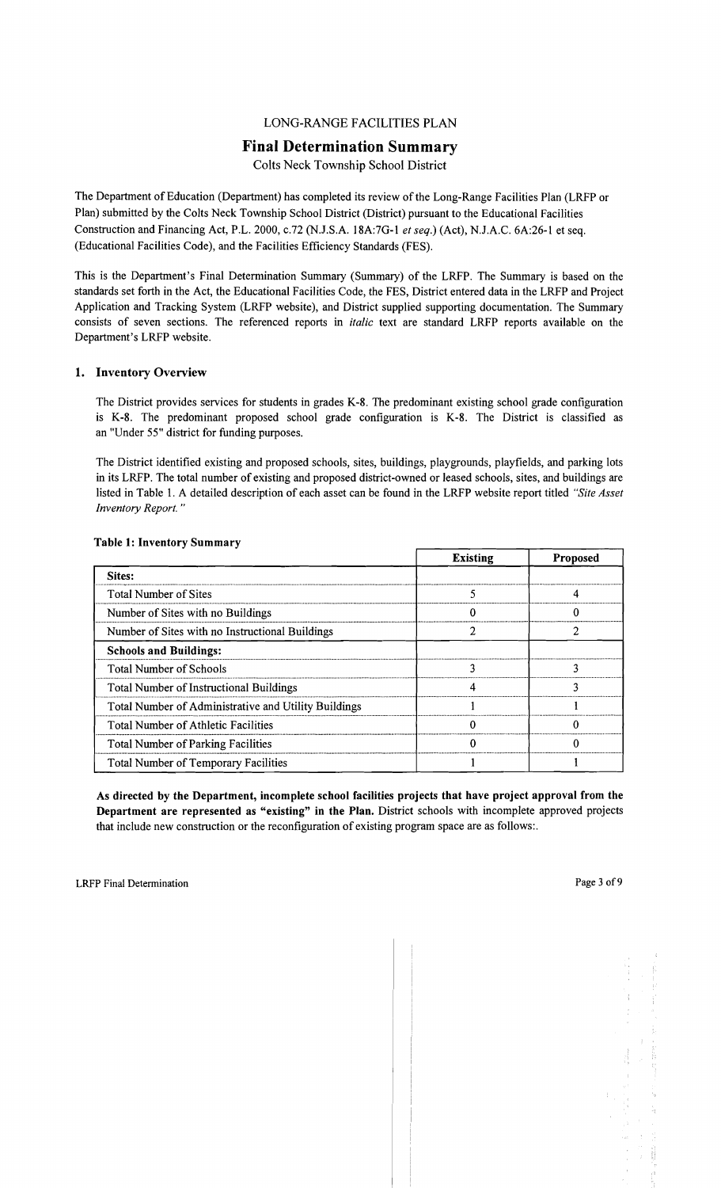# LONG-RANGE FACILITIES PLAN

## Final Determination Summary

Colts Neck Township School District

The Department of Education (Department) has completed its review of the Long-Range Facilities Plan (LRFP or Plan) submitted by the Colts Neck Township School District (District) pursuant to the Educational Facilities Construction and Financing Act, P.L. 2000, c.72 (NJ.S.A. 18A:7G-1 *et seq.)* (Act), N.lA.C. 6A:26-1 et seq. (Educational Facilities Code), and the Facilities Efficiency Standards (FES).

This is the Department's Final Determination Summary (Summary) of the LRFP. The Summary is based on the standards set forth in the Act, the Educational Facilities Code, the FES, District entered data in the LRFP and Project Application and Tracking System (LRFP website), and District supplied supporting documentation. The Summary consists of seven sections. The referenced reports in *italic* text are standard LRFP reports available on the Department's LRFP website.

#### 1. Inventory Overview

The District provides services for students in grades K-8. The predominant existing school grade configuration is K-8. The predominant proposed school grade configuration is K-8. The District is classified as an "Under 55" district for funding purposes.

The District identified existing and proposed schools, sites, buildings, playgrounds, playfields, and parking lots in its LRFP. The total number of existing and proposed district-owned or leased schools, sites, and buildings are listed in Table 1. A detailed description of each asset can be found in the LRFP website report titled *"Site Asset Inventory Report. "* 

|                                                      | <b>Existing</b> | <b>Proposed</b> |
|------------------------------------------------------|-----------------|-----------------|
| Sites:                                               |                 |                 |
| <b>Total Number of Sites</b>                         |                 |                 |
| Number of Sites with no Buildings                    |                 |                 |
| Number of Sites with no Instructional Buildings      |                 |                 |
| <b>Schools and Buildings:</b>                        |                 |                 |
| <b>Total Number of Schools</b>                       |                 |                 |
| Total Number of Instructional Buildings              |                 |                 |
| Total Number of Administrative and Utility Buildings |                 |                 |
| <b>Total Number of Athletic Facilities</b>           |                 |                 |
| <b>Total Number of Parking Facilities</b>            |                 |                 |
| <b>Total Number of Temporary Facilities</b>          |                 |                 |

#### Table 1: Inventory Summary

As directed by the Department, incomplete school facilities projects that have project approval from the Department are represented as "existing" in the Plan. District schools with incomplete approved projects that include new construction or the reconfiguration of existing program space are as follows:.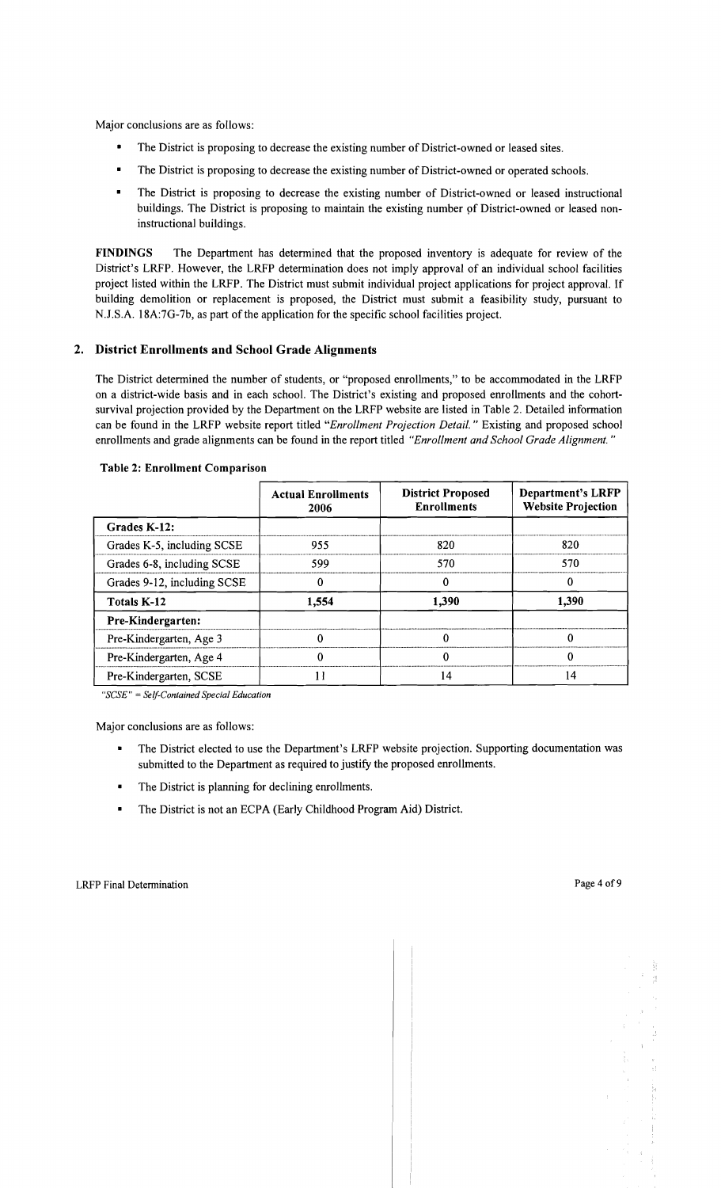Major conclusions are as follows:

- The District is proposing to decrease the existing number of District-owned or leased sites.
- The District is proposing to decrease the existing number of District-owned or operated schools.
- The District is proposing to decrease the existing number of District-owned or leased instructional buildings. The District is proposing to maintain the existing number pf District-owned or leased noninstructional buildings.

FINDINGS The Department has determined that the proposed inventory is adequate for review of the District's LRFP. However, the LRFP determination does not imply approval of an individual school facilities project listed within the LRFP. The District must submit individual project applications for project approval. If building demolition or replacement is proposed, the District must submit a feasibility study, pursuant to NJ.S.A. 18A:7G-7b, as part of the application for the specific school facilities project.

#### 2. District Enrollments and School Grade Alignments

The District determined the number of students, or "proposed enrollments," to be accommodated in the LRFP on a district-wide basis and in each school. The District's existing and proposed enrollments and the cohortsurvival projection provided by the Department on the LRFP website are listed in Table 2. Detailed information can be found in the LRFP website report titled "Enrollment Projection Detail." Existing and proposed school enrollments and grade alignments can be found in the report titled *"Enrollment and School Grade Alignment. "* 

|                             | <b>Actual Enrollments</b><br>2006 | <b>District Proposed</b><br><b>Enrollments</b> | <b>Department's LRFP</b><br><b>Website Projection</b> |
|-----------------------------|-----------------------------------|------------------------------------------------|-------------------------------------------------------|
| Grades K-12:                |                                   |                                                |                                                       |
| Grades K-5, including SCSE  | 955                               | 820                                            | 820                                                   |
| Grades 6-8, including SCSE  | 599                               | 570                                            | 570                                                   |
| Grades 9-12, including SCSE |                                   | 0                                              | 0                                                     |
| Totals K-12                 | 1.554                             | 1,390                                          | 1,390                                                 |
| Pre-Kindergarten:           |                                   |                                                |                                                       |
| Pre-Kindergarten, Age 3     |                                   |                                                |                                                       |
| Pre-Kindergarten, Age 4     | O                                 | 0                                              | $\Omega$                                              |
| Pre-Kindergarten, SCSE      |                                   | 14                                             | 14                                                    |

#### Table 2: Enrollment Comparison

*"SCSE"* = *Self-Contained Special Education* 

Major conclusions are as follows:

- The District elected to use the Department's LRFP website projection. Supporting documentation was submitted to the Department as required to justify the proposed enrollments.
- The District is planning for declining enrollments.
- The District is not an ECPA (Early Childhood Program Aid) District.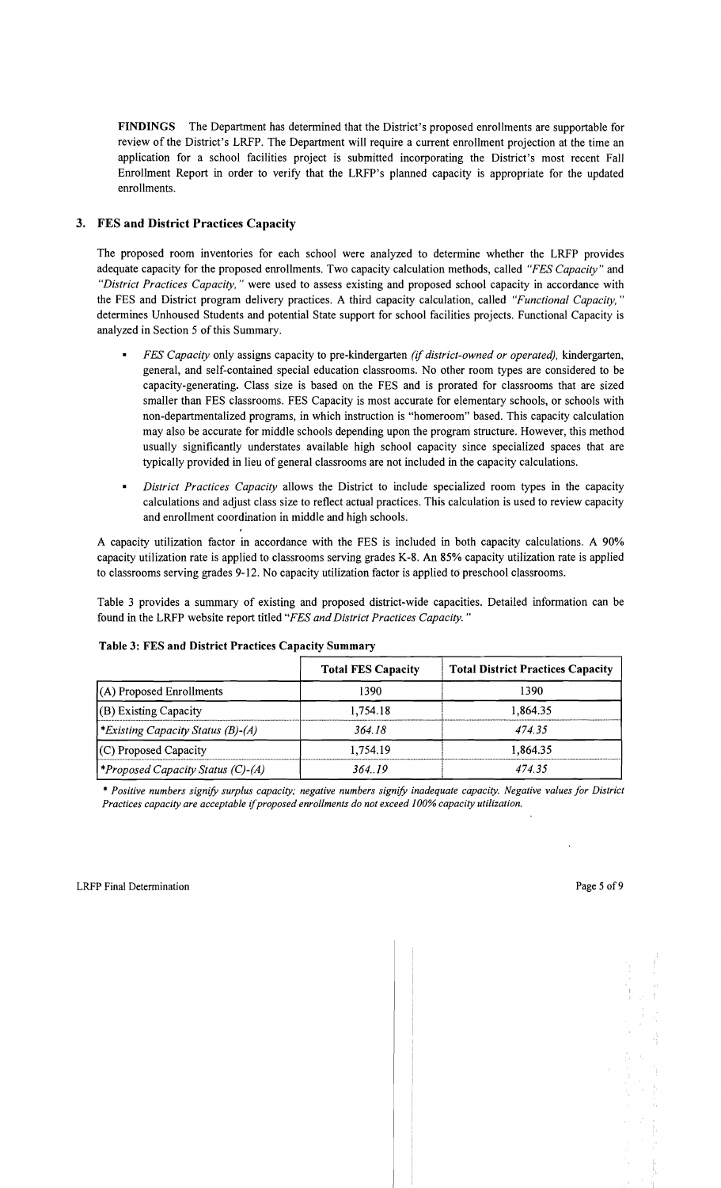FINDINGS The Department has determined that the District's proposed enrollments are supportable for review of the District's LRFP. The Department will require a current enrollment projection at the time an application for a school facilities project is submitted incorporating the District's most recent Fall Enrollment Report in order to verify that the LRFP's planned capacity is appropriate for the updated enrollments.

## 3. FES and District Practices Capacity

The proposed room inventories for each school were analyzed to determine whether the LRFP provides adequate capacity for the proposed enrollments. Two capacity calculation methods, called *"FES Capacity"* and *"District Practices Capacity,* " were used to assess existing and proposed school capacity in accordance with the FES and District program delivery practices. A third capacity calculation, called *"Functional Capacity, "*  determines Unhoused Students and potential State support for school facilities projects. Functional Capacity is analyzed in Section 5 of this Summary.

- *FES Capacity* only assigns capacity to pre-kindergarten *(if district-owned or operated),* kindergarten, general, and self-contained special education classrooms. No other room types are considered to be capacity-generating. Class size is based on the FES and is prorated for classrooms that are sized smaller than FES classrooms. FES Capacity is most accurate for elementary schools, or schools with non-departmentalized programs, in which instruction is "homeroom" based. This capacity calculation may also be accurate for middle schools depending upon the program structure. However, this method usually significantly understates available high school capacity since specialized spaces that are typically provided in lieu of general classrooms are not included in the capacity calculations.
- *District Practices Capacity* allows the District to include specialized room types in the capacity calculations and adjust class size to reflect actual practices. This calculation is used to review capacity and enrollment coordination in middle and high schools.

A capacity utilization factor in accordance with the FES is included in both capacity calculations. A 90% capacity utilization rate is applied to classrooms serving grades K-8. An 85% capacity utilization rate is applied to classrooms serving grades 9-12. No capacity utilization factor is applied to preschool classrooms.

Table 3 provides a summary of existing and proposed district-wide capacities. Detailed information can be found in the LRFP website report titled *"FES and District Practices Capacity. "* 

|                                         | <b>Total FES Capacity</b> | <b>Total District Practices Capacity</b> |
|-----------------------------------------|---------------------------|------------------------------------------|
| $(A)$ Proposed Enrollments              | 1390                      | 1390                                     |
| $(B)$ Existing Capacity                 | 1.754.18                  | 1,864.35                                 |
| <i>Existing Capacity Status (B)-(A)</i> | 364.18                    | 474.35                                   |
| (C) Proposed Capacity                   | 1.754.19                  | 1,864.35                                 |
| Proposed Capacity Status (C)-(A)        | 364.19                    | 474.35                                   |

#### Table 3: FES and District Practices Capacity Summary

\* *Positive numbers signify surplus capacity; negative numbers signify inadequate capacity. Negative values for District Practices capacity are acceptable* if*proposed enrollments do not exceed J00% capacity utilization.*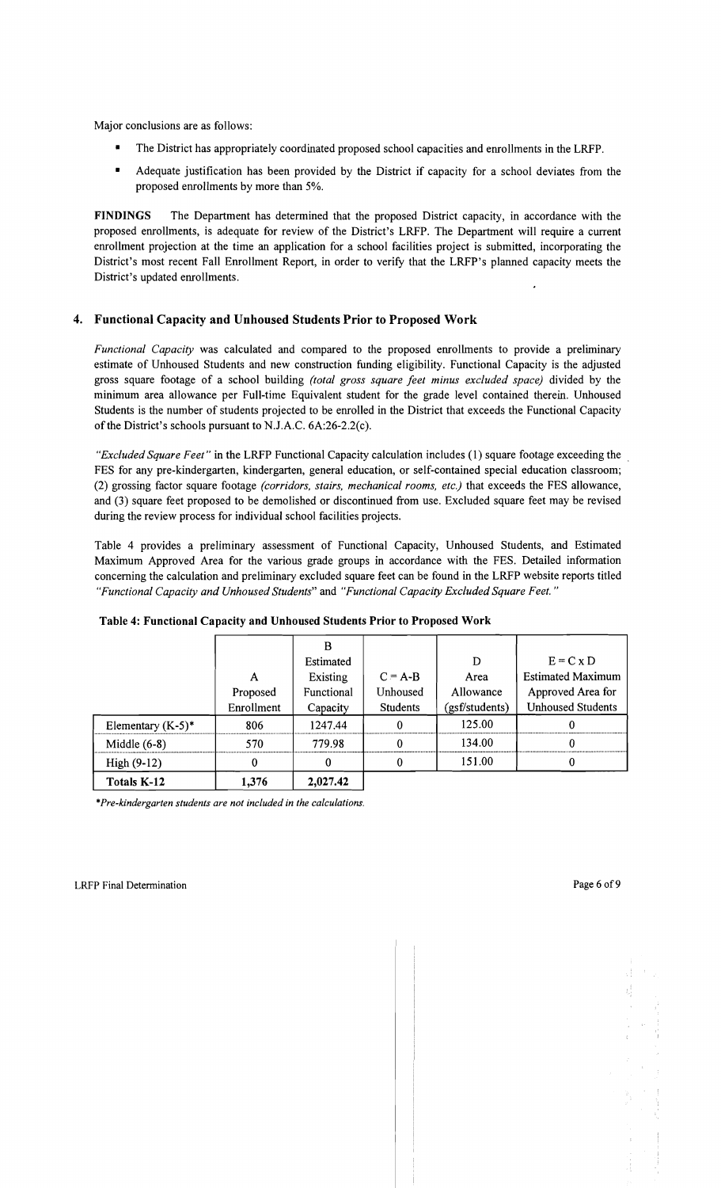Major conclusions are as follows:

- The District has appropriately coordinated proposed school capacities and enrollments in the LRFP.
- Adequate justification has been provided by the District if capacity for a school deviates from the proposed enrollments by more than 5%.

FINDINGS The Department has determined that the proposed District capacity, in accordance with the proposed enrollments, is adequate for review of the District's LRFP. The Department will require a current enrollment projection at the time an application for a school facilities project is submitted, incorporating the District's most recent Fall Enrollment Report, in order to verify that the LRFP's planned capacity meets the District's updated enrollments.

#### 4. Functional Capacity and Unhoused Students Prior to Proposed Work

*Functional Capacity* was calculated and compared to the proposed enrollments to provide a preliminary estimate of Unhoused Students and new construction funding eligibility. Functional Capacity is the adjusted gross square footage of a school building *(total gross square feet minus excluded space)* divided by the minimum area allowance per Full-time Equivalent student for the grade level contained therein. Unhoused Students is the number of students projected to be enrolled in the District that exceeds the Functional Capacity of the District's schools pursuant to N.J.A.C. 6A:26-2.2(c).

*"Excluded Square Feet"* in the LRFP Functional Capacity calculation includes (1) square footage exceeding the FES for any pre-kindergarten, kindergarten, general education, or self-contained special education classroom; (2) grossing factor square footage *(corridors, stairs, mechanical rooms, etc.)* that exceeds the FES allowance, and (3) square feet proposed to be demolished or discontinued from use. Excluded square feet may be revised during the review process for individual school facilities projects.

Table 4 provides a preliminary assessment of Functional Capacity, Unhoused Students, and Estimated Maximum Approved Area for the various grade groups in accordance with the FES. Detailed information concerning the calculation and preliminary excluded square feet can be found in the LRFP website reports titled *"Functional Capacity and Unhoused Students"* and *"Functional Capacity Excluded Square Feet."* 

|                      |            | B          |                 |                |                          |
|----------------------|------------|------------|-----------------|----------------|--------------------------|
|                      |            | Estimated  |                 | D              | $E = C x D$              |
|                      | A          | Existing   | $C = A-B$       | Area           | <b>Estimated Maximum</b> |
|                      | Proposed   | Functional | Unhoused        | Allowance      | Approved Area for        |
|                      | Enrollment | Capacity   | <b>Students</b> | (gsf/students) | <b>Unhoused Students</b> |
| Elementary $(K-5)^*$ | 806        | 1247.44    | 0               | 125.00         |                          |
| Middle $(6-8)$       | 570        | 779.98     | 0               | 134.00         |                          |
| $High (9-12)$        | 0          | 0          | 0               | 151.00         |                          |
| Totals K-12          | 1.376      | 2,027.42   |                 |                |                          |

#### Table 4: Functional Capacity and Unhoused Students Prior to Proposed Work

\**Pre-kindergarten students are not included in the calculations.*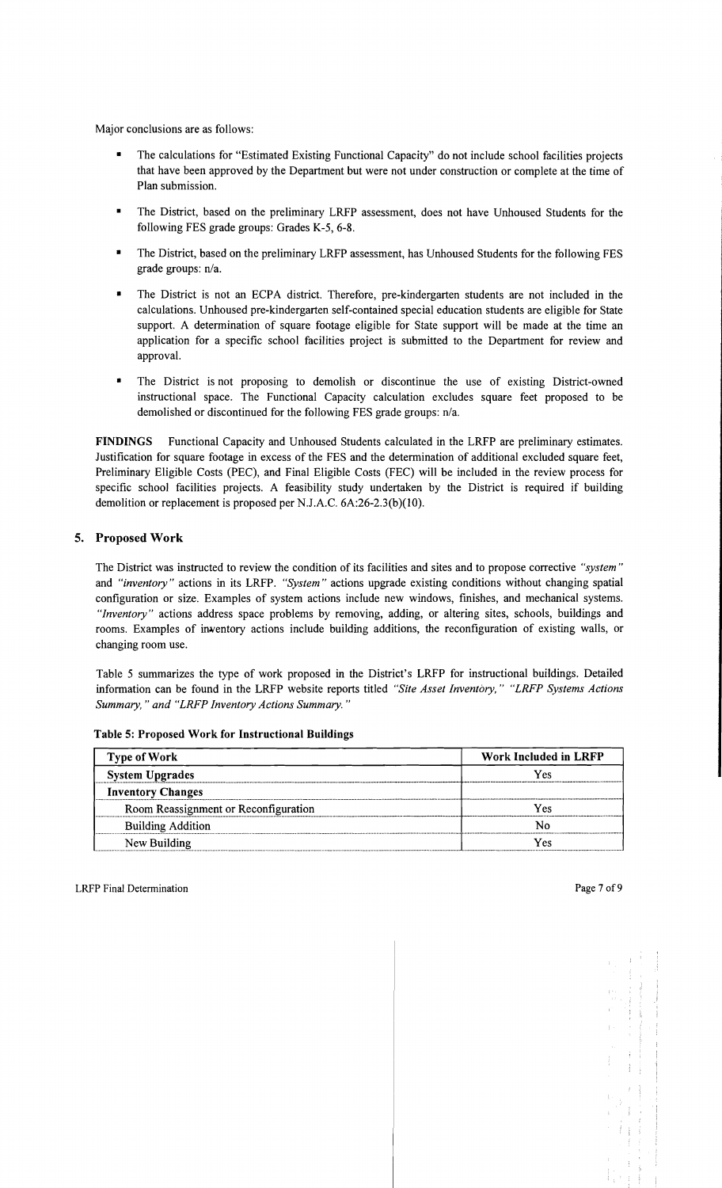Major conclusions are as follows:

- The calculations for "Estimated Existing Functional Capacity" do not include school facilities projects that have been approved by the Department but were not under construction or complete at the time of Plan submission.
- The District, based on the preliminary LRFP assessment, does not have Unhoused Students for the following FES grade groups: Grades K-5, 6-8.
- The District, based on the preliminary LRFP assessment, has Unhoused Students for the following FES grade groups: n/a.
- The District is not an ECPA district. Therefore, pre-kindergarten students are not included in the calculations. Unhoused pre-kindergarten self-contained special education students are eligible for State support. A determination of square footage eligible for State support will be made at the time an application for a specific school facilities project is submitted to the Department for review and approval.
- The District is not proposing to demolish or discontinue the use of existing District-owned instructional space. The Functional Capacity calculation excludes square feet proposed to be demolished or discontinued for the following FES grade groups: n/a.

FINDINGS Functional Capacity and Unhoused Students calculated in the LRFP are preliminary estimates. Justification for square footage in excess of the FES and the determination of additional excluded square feet, Preliminary Eligible Costs (PEC), and Final Eligible Costs (FEC) will be included in the review process for specific school facilities projects. A feasibility study undertaken by the District is required if building demolition or replacement is proposed per N.J.A.C. 6A:26-2.3(b)(10).

## 5. Proposed Work

The District was instructed to review the condition of its facilities and sites and to propose corrective *"system"*  and *"inventory"* actions in its LRFP. *"System"* actions upgrade existing conditions without changing spatial configuration or size. Examples of system actions include new windows, fmishes, and mechanical systems. *"Inventory"* actions address space problems by removing, adding, or altering sites, schools, buildings and rooms. Examples of inventory actions include building additions, the reconfiguration of existing walls, or changing room use.

Table 5 summarizes the type of work proposed in the District's LRFP for instructional buildings. Detailed information can be found in the LRFP website reports titled *"Site Asset Inventory," "LRFP Systems Actions Summary,* " *and "LRFP Inventory Actions Summary. "* 

| Type of Work                         | <b>Work Included in LRFP</b> |
|--------------------------------------|------------------------------|
| <b>System Upgrades</b>               | Yes                          |
| <b>Inventory Changes</b>             |                              |
| Room Reassignment or Reconfiguration | Yes                          |
| <b>Building Addition</b>             | N٥                           |
| New Building                         | Yes                          |

Table 5: Proposed Work for Instructional Buildings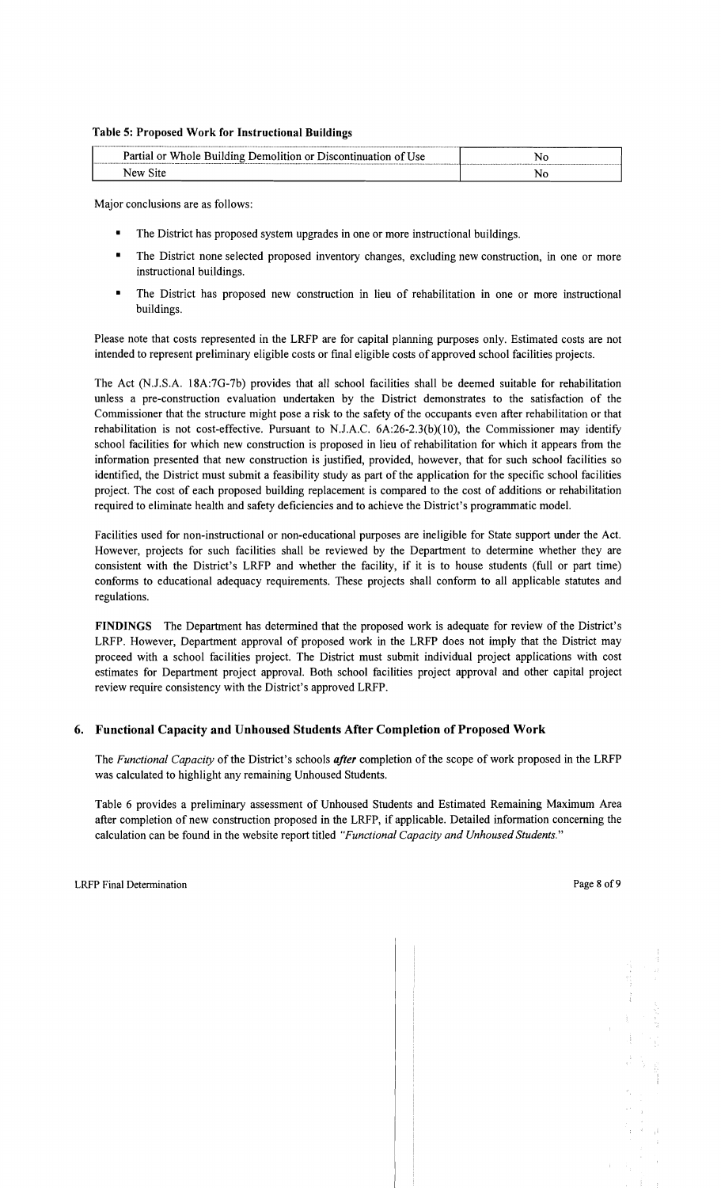#### Table 5: Proposed Work for Instructional Buildings

| Partial or Whole Building Demolition or Discontinuation of Use |  |
|----------------------------------------------------------------|--|
| New Site                                                       |  |

Major conclusions are as follows:

- The District has proposed system upgrades in one or more instructional buildings.
- The District none selected proposed inventory changes, excluding new construction, in one or more instructional buildings.
- The District has proposed new construction in lieu of rehabilitation in one or more instructional buildings.

Please note that costs represented in the LRFP are for capital planning purposes only. Estimated costs are not intended to represent preliminary eligible costs or fmal eligible costs of approved school facilities projects.

The Act (N.J.S.A. 18A:7G-7b) provides that all school facilities shall be deemed suitable for rehabilitation unless a pre-construction evaluation undertaken by the District demonstrates to the satisfaction of the Commissioner that the structure might pose a risk to the safety of the occupants even after rehabilitation or that rehabilitation is not cost-effective. Pursuant to N.J.A.C.  $6A:26-2.3(b)(10)$ , the Commissioner may identify school facilities for which new construction is proposed in lieu of rehabilitation for which it appears from the information presented that new construction is justified, provided, however, that for such school facilities so identified, the District must submit a feasibility study as part of the application for the specific school facilities project. The cost of each proposed building replacement is compared to the cost of additions or rehabilitation required to eliminate health and safety deficiencies and to achieve the District's programmatic model.

Facilities used for non-instructional or non-educational purposes are ineligible for State support under the Act. However, projects for such facilities shall be reviewed by the Department to determine whether they are consistent with the District's LRFP and whether the facility, if it is to house students (full or part time) conforms to educational adequacy requirements. These projects shall conform to all applicable statutes and regulations.

FINDINGS The Department has determined that the proposed work is adequate for review of the District's LRFP. However, Department approval of proposed work in the LRFP does not imply that the District may proceed with a school facilities project. The District must submit individual project applications with cost estimates for Department project approval. Both school facilities project approval and other capital project review require consistency with the District's approved LRFP.

#### 6. Functional Capacity and Unhoused Students After Completion of Proposed Work

The *Functional Capacity* of the District's schools *after* completion of the scope of work proposed in the LRFP was calculated to highlight any remaining Unhoused Students.

Table 6 provides a preliminary assessment of Unhoused Students and Estimated Remaining Maximum Area after completion of new construction proposed in the LRFP, if applicable. Detailed information concerning the calculation can be found in the website report titled *"Functional Capacity and Unhoused Students."*